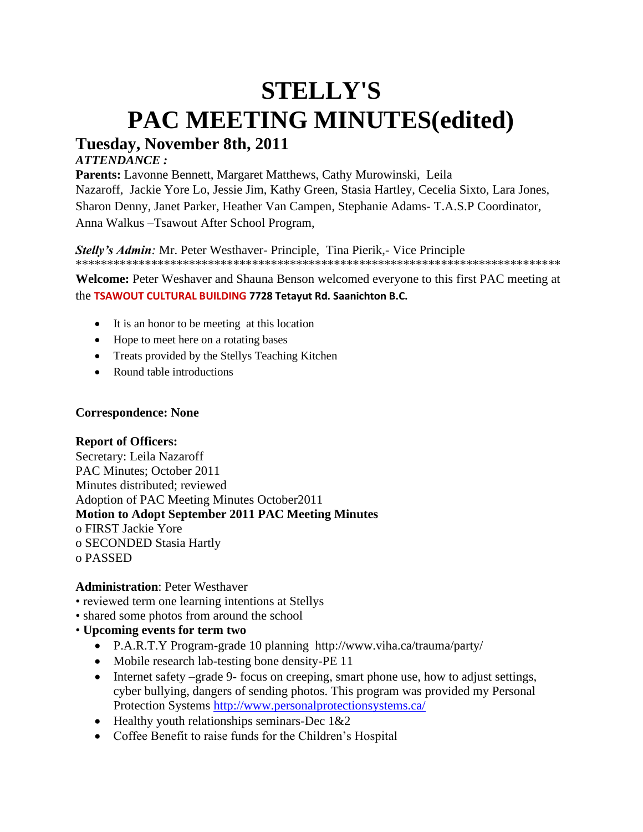# **STELLY'S PAC MEETING MINUTES(edited) Tuesday, November 8th, 2011**

## *ATTENDANCE :*

**Parents:** Lavonne Bennett, Margaret Matthews, Cathy Murowinski, Leila Nazaroff, Jackie Yore Lo, Jessie Jim, Kathy Green, Stasia Hartley, Cecelia Sixto, Lara Jones, Sharon Denny, Janet Parker, Heather Van Campen, Stephanie Adams- T.A.S.P Coordinator, Anna Walkus –Tsawout After School Program,

*Stelly's Admin:* Mr. Peter Westhaver- Principle, Tina Pierik,- Vice Principle \*\*\*\*\*\*\*\*\*\*\*\*\*\*\*\*\*\*\*\*\*\*\*\*\*\*\*\*\*\*\*\*\*\*\*\*\*\*\*\*\*\*\*\*\*\*\*\*\*\*\*\*\*\*\*\*\*\*\*\*\*\*\*\*\*\*\*\*\*\*\*\*\*\*\*\*\*

**Welcome:** Peter Weshaver and Shauna Benson welcomed everyone to this first PAC meeting at the **TSAWOUT CULTURAL BUILDING 7728 Tetayut Rd. Saanichton B.C.**

- It is an honor to be meeting at this location
- Hope to meet here on a rotating bases
- Treats provided by the Stellys Teaching Kitchen
- Round table introductions

### **Correspondence: None**

## **Report of Officers:**

Secretary: Leila Nazaroff PAC Minutes; October 2011 Minutes distributed; reviewed Adoption of PAC Meeting Minutes October2011 **Motion to Adopt September 2011 PAC Meeting Minutes** o FIRST Jackie Yore o SECONDED Stasia Hartly o PASSED

## **Administration**: Peter Westhaver

- reviewed term one learning intentions at Stellys
- shared some photos from around the school
- **Upcoming events for term two**
	- P.A.R.T.Y Program-grade 10 planning http://www.viha.ca/trauma/party/
	- Mobile research lab-testing bone density-PE 11
	- Internet safety –grade 9- focus on creeping, smart phone use, how to adjust settings, cyber bullying, dangers of sending photos. This program was provided my Personal Protection Systems<http://www.personalprotectionsystems.ca/>
	- Healthy youth relationships seminars-Dec 1&2
	- Coffee Benefit to raise funds for the Children's Hospital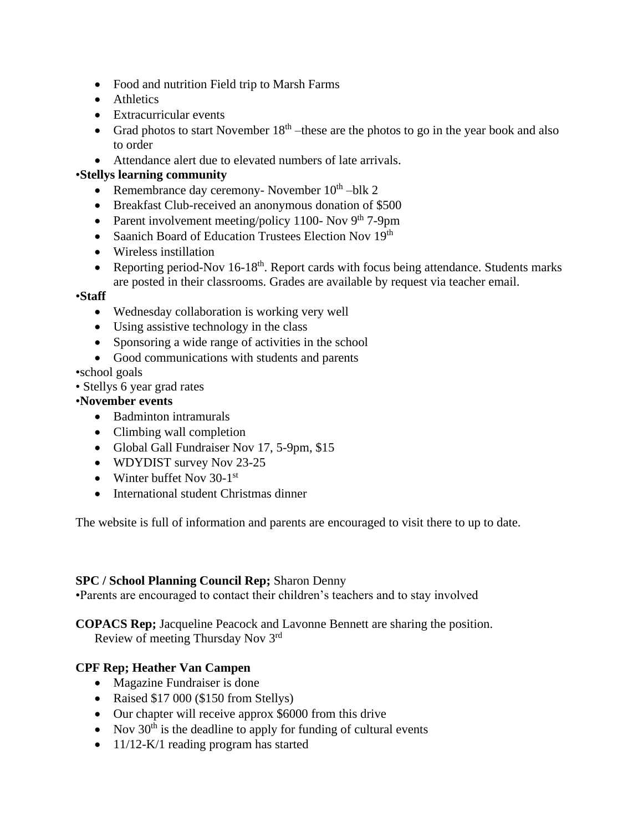- Food and nutrition Field trip to Marsh Farms
- Athletics
- Extracurricular events
- Grad photos to start November  $18<sup>th</sup>$  –these are the photos to go in the year book and also to order
- Attendance alert due to elevated numbers of late arrivals.

## •**Stellys learning community**

- Remembrance day ceremony- November  $10^{th}$  -blk 2
- Breakfast Club-received an anonymous donation of \$500
- Parent involvement meeting/policy 1100- Nov  $9<sup>th</sup>$  7-9pm
- Saanich Board of Education Trustees Election Nov 19<sup>th</sup>
- Wireless instillation
- Reporting period-Nov  $16-18^{th}$ . Report cards with focus being attendance. Students marks are posted in their classrooms. Grades are available by request via teacher email.

## •**Staff**

- Wednesday collaboration is working very well
- Using assistive technology in the class
- Sponsoring a wide range of activities in the school
- Good communications with students and parents

## •school goals

• Stellys 6 year grad rates

## •**November events**

- Badminton intramurals
- Climbing wall completion
- Global Gall Fundraiser Nov 17, 5-9pm, \$15
- WDYDIST survey Nov 23-25
- Winter buffet Nov 30-1st
- International student Christmas dinner

The website is full of information and parents are encouraged to visit there to up to date.

## **SPC / School Planning Council Rep;** Sharon Denny

•Parents are encouraged to contact their children's teachers and to stay involved

**COPACS Rep;** Jacqueline Peacock and Lavonne Bennett are sharing the position. Review of meeting Thursday Nov 3rd

## **CPF Rep; Heather Van Campen**

- Magazine Fundraiser is done
- Raised \$17 000 (\$150 from Stellys)
- Our chapter will receive approx \$6000 from this drive
- Nov  $30<sup>th</sup>$  is the deadline to apply for funding of cultural events
- 11/12-K/1 reading program has started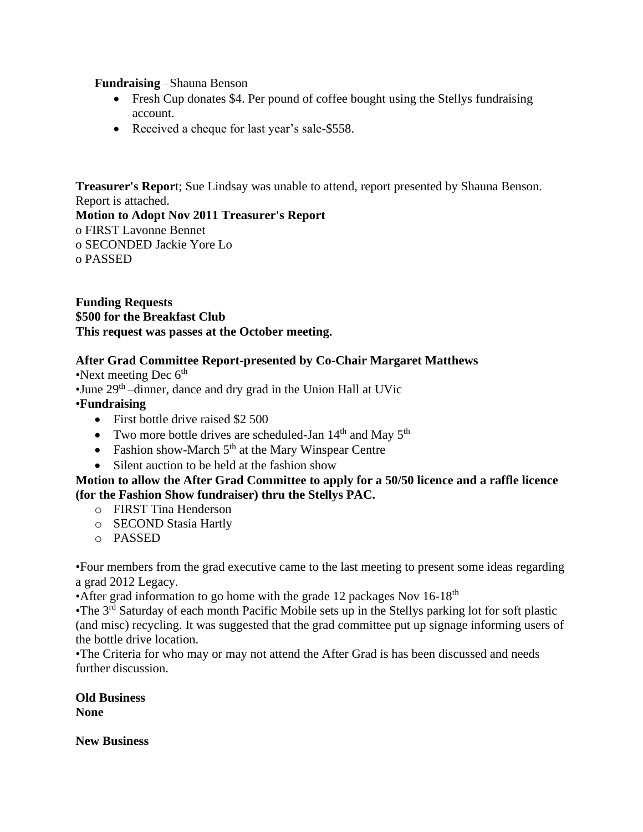### **Fundraising** –Shauna Benson

- Fresh Cup donates \$4. Per pound of coffee bought using the Stellys fundraising account.
- Received a cheque for last year's sale-\$558.

**Treasurer's Repor**t; Sue Lindsay was unable to attend, report presented by Shauna Benson. Report is attached.

**Motion to Adopt Nov 2011 Treasurer's Report** o FIRST Lavonne Bennet o SECONDED Jackie Yore Lo o PASSED

**Funding Requests \$500 for the Breakfast Club This request was passes at the October meeting.**

## **After Grad Committee Report-presented by Co-Chair Margaret Matthews**

•Next meeting Dec  $6<sup>th</sup>$ 

•June 29<sup>th</sup> –dinner, dance and dry grad in the Union Hall at UVic

#### •**Fundraising**

- First bottle drive raised \$2 500
- Two more bottle drives are scheduled-Jan  $14<sup>th</sup>$  and May  $5<sup>th</sup>$
- Fashion show-March  $5<sup>th</sup>$  at the Mary Winspear Centre
- Silent auction to be held at the fashion show

### **Motion to allow the After Grad Committee to apply for a 50/50 licence and a raffle licence (for the Fashion Show fundraiser) thru the Stellys PAC.**

- o FIRST Tina Henderson
- o SECOND Stasia Hartly
- o PASSED

•Four members from the grad executive came to the last meeting to present some ideas regarding a grad 2012 Legacy.

•After grad information to go home with the grade 12 packages Nov  $16-18<sup>th</sup>$ 

•The 3<sup>rd</sup> Saturday of each month Pacific Mobile sets up in the Stellys parking lot for soft plastic (and misc) recycling. It was suggested that the grad committee put up signage informing users of the bottle drive location.

•The Criteria for who may or may not attend the After Grad is has been discussed and needs further discussion.

**Old Business None**

**New Business**